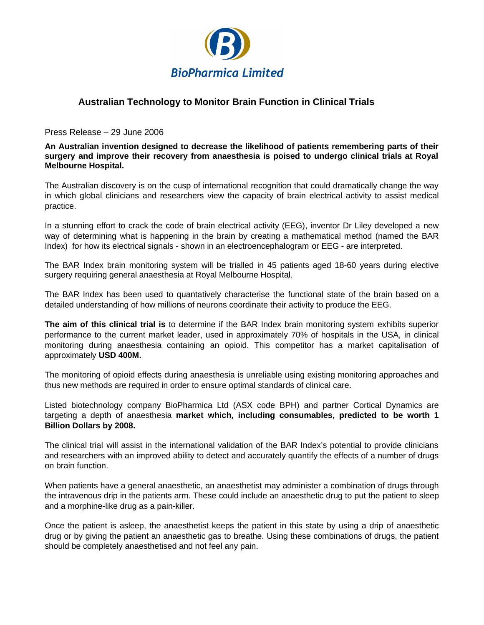

## **Australian Technology to Monitor Brain Function in Clinical Trials**

Press Release – 29 June 2006

**An Australian invention designed to decrease the likelihood of patients remembering parts of their surgery and improve their recovery from anaesthesia is poised to undergo clinical trials at Royal Melbourne Hospital.**

The Australian discovery is on the cusp of international recognition that could dramatically change the way in which global clinicians and researchers view the capacity of brain electrical activity to assist medical practice.

In a stunning effort to crack the code of brain electrical activity (EEG), inventor Dr Liley developed a new way of determining what is happening in the brain by creating a mathematical method (named the BAR Index) for how its electrical signals - shown in an electroencephalogram or EEG - are interpreted.

The BAR Index brain monitoring system will be trialled in 45 patients aged 18-60 years during elective surgery requiring general anaesthesia at Royal Melbourne Hospital.

The BAR Index has been used to quantatively characterise the functional state of the brain based on a detailed understanding of how millions of neurons coordinate their activity to produce the EEG.

**The aim of this clinical trial is** to determine if the BAR Index brain monitoring system exhibits superior performance to the current market leader, used in approximately 70% of hospitals in the USA, in clinical monitoring during anaesthesia containing an opioid. This competitor has a market capitalisation of approximately **USD 400M.**

The monitoring of opioid effects during anaesthesia is unreliable using existing monitoring approaches and thus new methods are required in order to ensure optimal standards of clinical care.

Listed biotechnology company BioPharmica Ltd (ASX code BPH) and partner Cortical Dynamics are targeting a depth of anaesthesia **market which, including consumables, predicted to be worth 1 Billion Dollars by 2008.** 

The clinical trial will assist in the international validation of the BAR Index's potential to provide clinicians and researchers with an improved ability to detect and accurately quantify the effects of a number of drugs on brain function.

When patients have a general anaesthetic, an anaesthetist may administer a combination of drugs through the intravenous drip in the patients arm. These could include an anaesthetic drug to put the patient to sleep and a morphine-like drug as a pain-killer.

Once the patient is asleep, the anaesthetist keeps the patient in this state by using a drip of anaesthetic drug or by giving the patient an anaesthetic gas to breathe. Using these combinations of drugs, the patient should be completely anaesthetised and not feel any pain.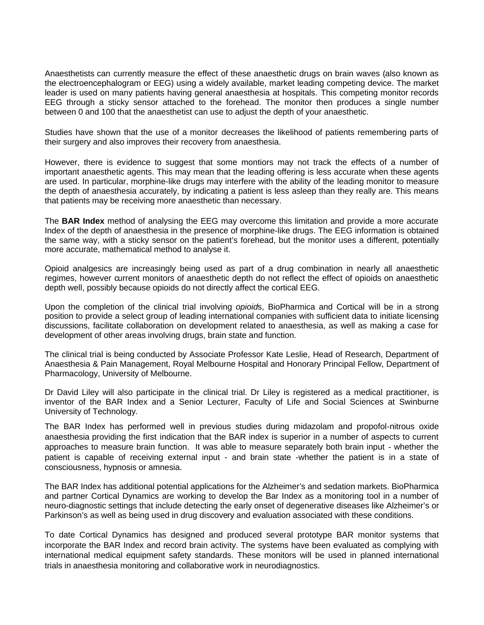Anaesthetists can currently measure the effect of these anaesthetic drugs on brain waves (also known as the electroencephalogram or EEG) using a widely available, market leading competing device. The market leader is used on many patients having general anaesthesia at hospitals. This competing monitor records EEG through a sticky sensor attached to the forehead. The monitor then produces a single number between 0 and 100 that the anaesthetist can use to adjust the depth of your anaesthetic.

Studies have shown that the use of a monitor decreases the likelihood of patients remembering parts of their surgery and also improves their recovery from anaesthesia.

However, there is evidence to suggest that some montiors may not track the effects of a number of important anaesthetic agents. This may mean that the leading offering is less accurate when these agents are used. In particular, morphine-like drugs may interfere with the ability of the leading monitor to measure the depth of anaesthesia accurately, by indicating a patient is less asleep than they really are. This means that patients may be receiving more anaesthetic than necessary.

The **BAR Index** method of analysing the EEG may overcome this limitation and provide a more accurate Index of the depth of anaesthesia in the presence of morphine-like drugs. The EEG information is obtained the same way, with a sticky sensor on the patient's forehead, but the monitor uses a different, potentially more accurate, mathematical method to analyse it.

Opioid analgesics are increasingly being used as part of a drug combination in nearly all anaesthetic regimes, however current monitors of anaesthetic depth do not reflect the effect of opioids on anaesthetic depth well, possibly because opioids do not directly affect the cortical EEG.

Upon the completion of the clinical trial involving *opioid*s, BioPharmica and Cortical will be in a strong position to provide a select group of leading international companies with sufficient data to initiate licensing discussions, facilitate collaboration on development related to anaesthesia, as well as making a case for development of other areas involving drugs, brain state and function.

The clinical trial is being conducted by Associate Professor Kate Leslie, Head of Research, Department of Anaesthesia & Pain Management, Royal Melbourne Hospital and Honorary Principal Fellow, Department of Pharmacology, University of Melbourne.

Dr David Liley will also participate in the clinical trial. Dr Liley is registered as a medical practitioner, is inventor of the BAR Index and a Senior Lecturer, Faculty of Life and Social Sciences at Swinburne University of Technology.

The BAR Index has performed well in previous studies during midazolam and propofol-nitrous oxide anaesthesia providing the first indication that the BAR index is superior in a number of aspects to current approaches to measure brain function. It was able to measure separately both brain input - whether the patient is capable of receiving external input - and brain state -whether the patient is in a state of consciousness, hypnosis or amnesia.

The BAR Index has additional potential applications for the Alzheimer's and sedation markets. BioPharmica and partner Cortical Dynamics are working to develop the Bar Index as a monitoring tool in a number of neuro-diagnostic settings that include detecting the early onset of degenerative diseases like Alzheimer's or Parkinson's as well as being used in drug discovery and evaluation associated with these conditions.

To date Cortical Dynamics has designed and produced several prototype BAR monitor systems that incorporate the BAR Index and record brain activity. The systems have been evaluated as complying with international medical equipment safety standards. These monitors will be used in planned international trials in anaesthesia monitoring and collaborative work in neurodiagnostics.